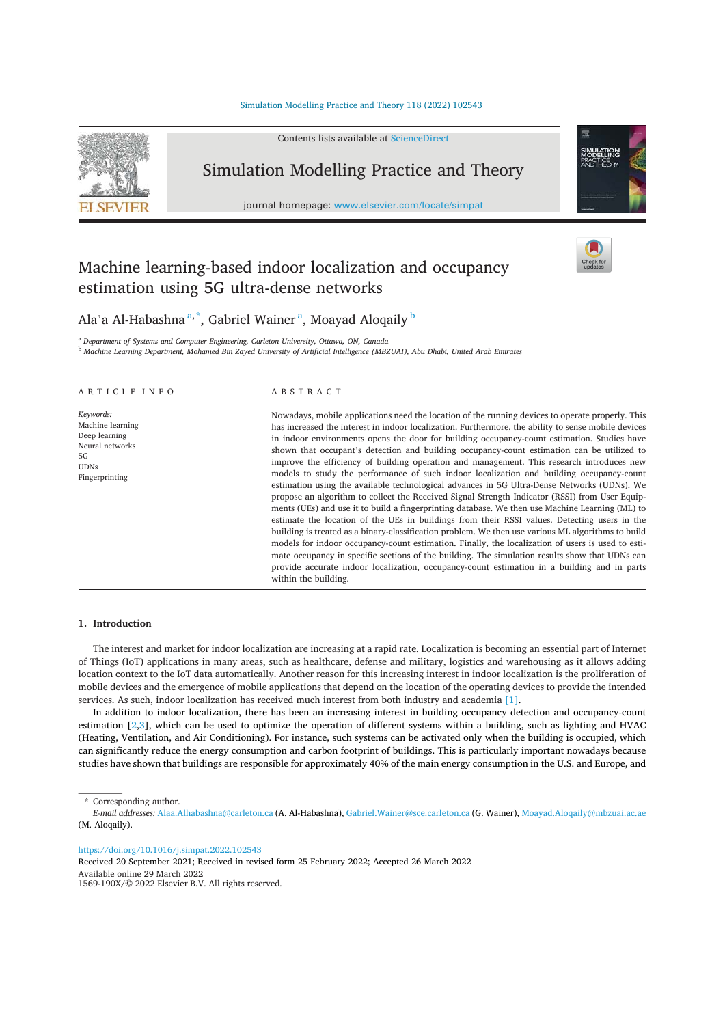## Simulation Modelling Practice and Theory 118 (2022) 102543



# Machine learning-based indoor localization and occupancy estimation using 5G ultra-dense networks



Ala'a Al-Habashna<sup>a,\*</sup>, Gabriel Wainer<sup>a</sup>, Moayad Aloqaily<sup>b</sup>

<sup>a</sup> Department of Systems and Computer Engineering, Carleton University, Ottawa, ON, Canada

<sup>b</sup> Machine Learning Department, Mohamed Bin Zayed University of Artificial Intelligence (MBZUAI), Abu Dhabi, United Arab Emirates

## ARTICLE INFO

Keywords: Machine learning Deep learning Neural networks  $5G$ **I**IDNe Fingerprinting

# ABSTRACT

Nowadays, mobile applications need the location of the running devices to operate properly. This has increased the interest in indoor localization. Furthermore, the ability to sense mobile devices in indoor environments opens the door for building occupancy-count estimation. Studies have shown that occupant's detection and building occupancy-count estimation can be utilized to improve the efficiency of building operation and management. This research introduces new models to study the performance of such indoor localization and building occupancy-count estimation using the available technological advances in 5G Ultra-Dense Networks (UDNs). We propose an algorithm to collect the Received Signal Strength Indicator (RSSI) from User Equipments (UEs) and use it to build a fingerprinting database. We then use Machine Learning (ML) to estimate the location of the UEs in buildings from their RSSI values. Detecting users in the building is treated as a binary-classification problem. We then use various ML algorithms to build models for indoor occupancy-count estimation. Finally, the localization of users is used to estimate occupancy in specific sections of the building. The simulation results show that UDNs can provide accurate indoor localization, occupancy-count estimation in a building and in parts within the building.

## 1. Introduction

The interest and market for indoor localization are increasing at a rapid rate. Localization is becoming an essential part of Internet of Things (IoT) applications in many areas, such as healthcare, defense and military, logistics and warehousing as it allows adding location context to the IoT data automatically. Another reason for this increasing interest in indoor localization is the proliferation of mobile devices and the emergence of mobile applications that depend on the location of the operating devices to provide the intended services. As such, indoor localization has received much interest from both industry and academia [1].

In addition to indoor localization, there has been an increasing interest in building occupancy detection and occupancy-count estimation  $[2,3]$ , which can be used to optimize the operation of different systems within a building, such as lighting and HVAC (Heating, Ventilation, and Air Conditioning). For instance, such systems can be activated only when the building is occupied, which can significantly reduce the energy consumption and carbon footprint of buildings. This is particularly important nowadays because studies have shown that buildings are responsible for approximately 40% of the main energy consumption in the U.S. and Europe, and

\* Corresponding author.

https://doi.org/10.1016/j.simpat.2022.102543

Received 20 September 2021; Received in revised form 25 February 2022; Accepted 26 March 2022 Available online 29 March 2022 1569-190X/© 2022 Elsevier B.V. All rights reserved.

E-mail addresses: Alaa.Alhabashna@carleton.ca (A. Al-Habashna), Gabriel.Wainer@sce.carleton.ca (G. Wainer), Moayad.Aloqaily@mbzuai.ac.ae (M. Alogaily).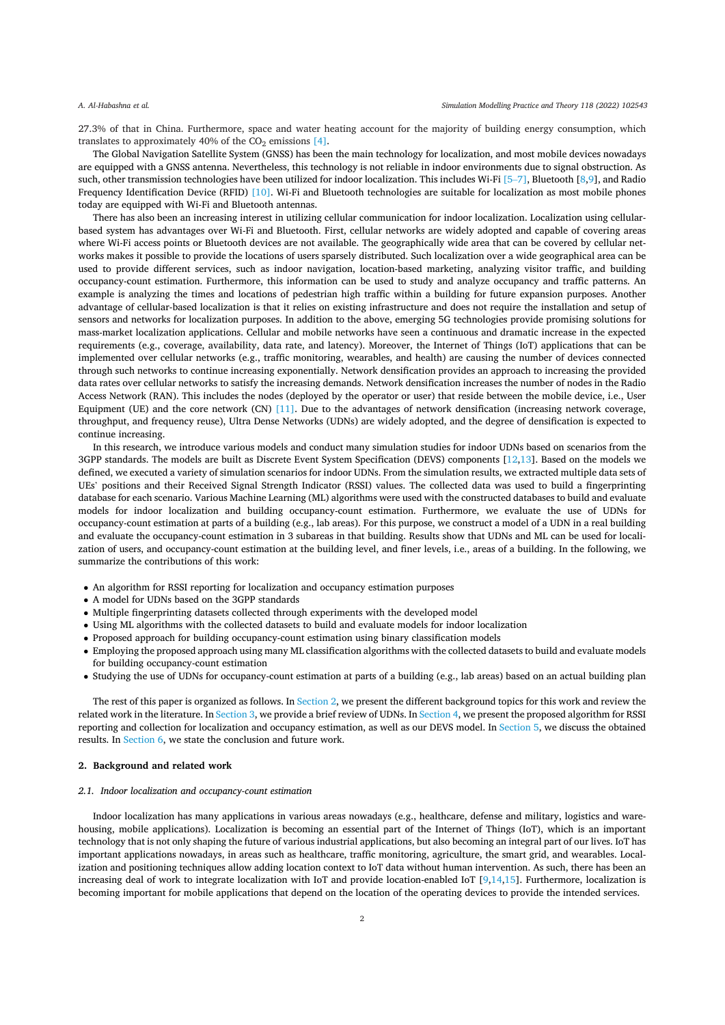27.3% of that in China. Furthermore, space and water heating account for the majority of building energy consumption, which translates to approximately 40% of the  $CO<sub>2</sub>$  emissions [4].

The Global Navigation Satellite System (GNSS) has been the main technology for localization, and most mobile devices nowadays are equipped with a GNSS antenna. Nevertheless, this technology is not reliable in indoor environments due to signal obstruction. As such, other transmission technologies have been utilized for indoor localization. This includes Wi-Fi [5-7], Bluetooth [8,9], and Radio Frequency Identification Device (RFID) [10]. Wi-Fi and Bluetooth technologies are suitable for localization as most mobile phones today are equipped with Wi-Fi and Bluetooth antennas.

There has also been an increasing interest in utilizing cellular communication for indoor localization. Localization using cellularbased system has advantages over Wi-Fi and Bluetooth. First, cellular networks are widely adopted and capable of covering areas where Wi-Fi access points or Bluetooth devices are not available. The geographically wide area that can be covered by cellular networks makes it possible to provide the locations of users sparsely distributed. Such localization over a wide geographical area can be used to provide different services, such as indoor navigation, location-based marketing, analyzing visitor traffic, and building occupancy-count estimation. Furthermore, this information can be used to study and analyze occupancy and traffic patterns. An example is analyzing the times and locations of pedestrian high traffic within a building for future expansion purposes. Another advantage of cellular-based localization is that it relies on existing infrastructure and does not require the installation and setup of sensors and networks for localization purposes. In addition to the above, emerging 5G technologies provide promising solutions for mass-market localization applications. Cellular and mobile networks have seen a continuous and dramatic increase in the expected requirements (e.g., coverage, availability, data rate, and latency). Moreover, the Internet of Things (IoT) applications that can be implemented over cellular networks (e.g., traffic monitoring, wearables, and health) are causing the number of devices connected through such networks to continue increasing exponentially. Network densification provides an approach to increasing the provided data rates over cellular networks to satisfy the increasing demands. Network densification increases the number of nodes in the Radio Access Network (RAN). This includes the nodes (deployed by the operator or user) that reside between the mobile device, i.e., User Equipment (UE) and the core network (CN) [11]. Due to the advantages of network densification (increasing network coverage, throughput, and frequency reuse), Ultra Dense Networks (UDNs) are widely adopted, and the degree of densification is expected to continue increasing.

In this research, we introduce various models and conduct many simulation studies for indoor UDNs based on scenarios from the 3GPP standards. The models are built as Discrete Event System Specification (DEVS) components [12,13]. Based on the models we defined, we executed a variety of simulation scenarios for indoor UDNs. From the simulation results, we extracted multiple data sets of UEs' positions and their Received Signal Strength Indicator (RSSI) values. The collected data was used to build a fingerprinting database for each scenario. Various Machine Learning (ML) algorithms were used with the constructed databases to build and evaluate models for indoor localization and building occupancy-count estimation. Furthermore, we evaluate the use of UDNs for occupancy-count estimation at parts of a building (e.g., lab areas). For this purpose, we construct a model of a UDN in a real building and evaluate the occupancy-count estimation in 3 subareas in that building. Results show that UDNs and ML can be used for localization of users, and occupancy-count estimation at the building level, and finer levels, i.e., areas of a building. In the following, we summarize the contributions of this work:

- An algorithm for RSSI reporting for localization and occupancy estimation purposes
- A model for UDNs based on the 3GPP standards
- Multiple fingerprinting datasets collected through experiments with the developed model
- Using ML algorithms with the collected datasets to build and evaluate models for indoor localization
- Proposed approach for building occupancy-count estimation using binary classification models
- Employing the proposed approach using many ML classification algorithms with the collected datasets to build and evaluate models for building occupancy-count estimation
- Studying the use of UDNs for occupancy-count estimation at parts of a building (e.g., lab areas) based on an actual building plan

The rest of this paper is organized as follows. In Section 2, we present the different background topics for this work and review the related work in the literature. In Section 3, we provide a brief review of UDNs. In Section 4, we present the proposed algorithm for RSSI reporting and collection for localization and occupancy estimation, as well as our DEVS model. In Section 5, we discuss the obtained results. In Section 6, we state the conclusion and future work.

## 2. Background and related work

## 2.1. Indoor localization and occupancy-count estimation

Indoor localization has many applications in various areas nowadays (e.g., healthcare, defense and military, logistics and warehousing, mobile applications). Localization is becoming an essential part of the Internet of Things (IoT), which is an important technology that is not only shaping the future of various industrial applications, but also becoming an integral part of our lives. IoT has important applications nowadays, in areas such as healthcare, traffic monitoring, agriculture, the smart grid, and wearables. Localization and positioning techniques allow adding location context to IoT data without human intervention. As such, there has been an increasing deal of work to integrate localization with IoT and provide location-enabled IoT  $[9,14,15]$ . Furthermore, localization is becoming important for mobile applications that depend on the location of the operating devices to provide the intended services.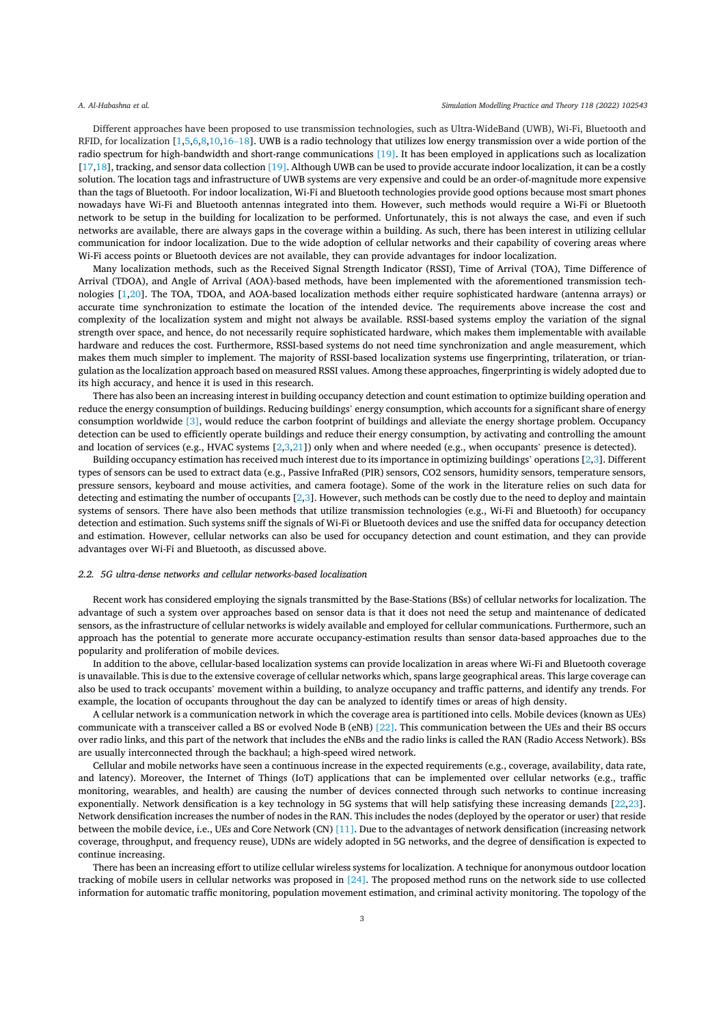Different approaches have been proposed to use transmission technologies, such as Ultra-WideBand (UWB), Wi-Fi, Bluetooth and RFID, for localization [1,5,6,8,10,16-18]. UWB is a radio technology that utilizes low energy transmission over a wide portion of the radio spectrum for high-bandwidth and short-range communications [19]. It has been employed in applications such as localization [17,18], tracking, and sensor data collection [19]. Although UWB can be used to provide accurate indoor localization, it can be a costly solution. The location tags and infrastructure of UWB systems are very expensive and could be an order-of-magnitude more expensive than the tags of Bluetooth. For indoor localization, Wi-Fi and Bluetooth technologies provide good options because most smart phones nowadays have Wi-Fi and Bluetooth antennas integrated into them. However, such methods would require a Wi-Fi or Bluetooth network to be setup in the building for localization to be performed. Unfortunately, this is not always the case, and even if such networks are available, there are always gaps in the coverage within a building. As such, there has been interest in utilizing cellular communication for indoor localization. Due to the wide adoption of cellular networks and their capability of covering areas where Wi-Fi access points or Bluetooth devices are not available, they can provide advantages for indoor localization.

Many localization methods, such as the Received Signal Strength Indicator (RSSI), Time of Arrival (TOA), Time Difference of Arrival (TDOA), and Angle of Arrival (AOA)-based methods, have been implemented with the aforementioned transmission technologies [1,20]. The TOA, TDOA, and AOA-based localization methods either require sophisticated hardware (antenna arrays) or accurate time synchronization to estimate the location of the intended device. The requirements above increase the cost and complexity of the localization system and might not always be available. RSSI-based systems employ the variation of the signal strength over space, and hence, do not necessarily require sophisticated hardware, which makes them implementable with available hardware and reduces the cost. Furthermore, RSSI-based systems do not need time synchronization and angle measurement, which makes them much simpler to implement. The majority of RSSI-based localization systems use fingerprinting, trilateration, or triangulation as the localization approach based on measured RSSI values. Among these approaches, fingerprinting is widely adopted due to its high accuracy, and hence it is used in this research.

There has also been an increasing interest in building occupancy detection and count estimation to optimize building operation and reduce the energy consumption of buildings. Reducing buildings' energy consumption, which accounts for a significant share of energy consumption worldwide [3], would reduce the carbon footprint of buildings and alleviate the energy shortage problem. Occupancy detection can be used to efficiently operate buildings and reduce their energy consumption, by activating and controlling the amount and location of services (e.g., HVAC systems  $[2,3,21]$ ) only when and where needed (e.g., when occupants' presence is detected).

Building occupancy estimation has received much interest due to its importance in optimizing buildings' operations [2,3]. Different types of sensors can be used to extract data (e.g., Passive InfraRed (PIR) sensors, CO2 sensors, humidity sensors, temperature sensors, pressure sensors, keyboard and mouse activities, and camera footage). Some of the work in the literature relies on such data for detecting and estimating the number of occupants [2,3]. However, such methods can be costly due to the need to deploy and maintain systems of sensors. There have also been methods that utilize transmission technologies (e.g., Wi-Fi and Bluetooth) for occupancy detection and estimation. Such systems sniff the signals of Wi-Fi or Bluetooth devices and use the sniffed data for occupancy detection and estimation. However, cellular networks can also be used for occupancy detection and count estimation, and they can provide advantages over Wi-Fi and Bluetooth, as discussed above.

## 2.2. 5G ultra-dense networks and cellular networks-based localization

Recent work has considered employing the signals transmitted by the Base-Stations (BSs) of cellular networks for localization. The advantage of such a system over approaches based on sensor data is that it does not need the setup and maintenance of dedicated sensors, as the infrastructure of cellular networks is widely available and employed for cellular communications. Furthermore, such an approach has the potential to generate more accurate occupancy-estimation results than sensor data-based approaches due to the popularity and proliferation of mobile devices.

In addition to the above, cellular-based localization systems can provide localization in areas where Wi-Fi and Bluetooth coverage is unavailable. This is due to the extensive coverage of cellular networks which, spans large geographical areas. This large coverage can also be used to track occupants' movement within a building, to analyze occupancy and traffic patterns, and identify any trends. For example, the location of occupants throughout the day can be analyzed to identify times or areas of high density.

A cellular network is a communication network in which the coverage area is partitioned into cells. Mobile devices (known as UEs) communicate with a transceiver called a BS or evolved Node B (eNB) [22]. This communication between the UEs and their BS occurs over radio links, and this part of the network that includes the eNBs and the radio links is called the RAN (Radio Access Network). BSs are usually interconnected through the backhaul; a high-speed wired network.

Cellular and mobile networks have seen a continuous increase in the expected requirements (e.g., coverage, availability, data rate, and latency). Moreover, the Internet of Things (IoT) applications that can be implemented over cellular networks (e.g., traffic monitoring, wearables, and health) are causing the number of devices connected through such networks to continue increasing exponentially. Network densification is a key technology in 5G systems that will help satisfying these increasing demands [22,23]. Network densification increases the number of nodes in the RAN. This includes the nodes (deployed by the operator or user) that reside between the mobile device, i.e., UEs and Core Network (CN) [11]. Due to the advantages of network densification (increasing network coverage, throughput, and frequency reuse), UDNs are widely adopted in 5G networks, and the degree of densification is expected to continue increasing.

There has been an increasing effort to utilize cellular wireless systems for localization. A technique for anonymous outdoor location tracking of mobile users in cellular networks was proposed in  $[24]$ . The proposed method runs on the network side to use collected information for automatic traffic monitoring, population movement estimation, and criminal activity monitoring. The topology of the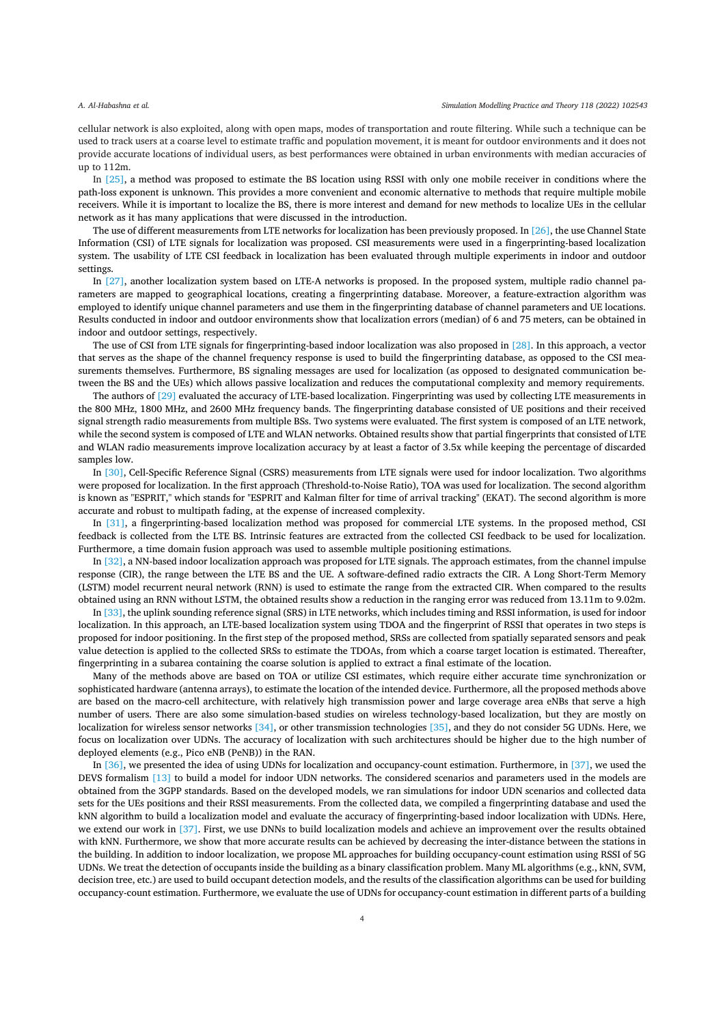cellular network is also exploited, along with open maps, modes of transportation and route filtering. While such a technique can be used to track users at a coarse level to estimate traffic and population movement, it is meant for outdoor environments and it does not provide accurate locations of individual users, as best performances were obtained in urban environments with median accuracies of up to 112m.

In [25], a method was proposed to estimate the BS location using RSSI with only one mobile receiver in conditions where the path-loss exponent is unknown. This provides a more convenient and economic alternative to methods that require multiple mobile receivers. While it is important to localize the BS, there is more interest and demand for new methods to localize UEs in the cellular network as it has many applications that were discussed in the introduction.

The use of different measurements from LTE networks for localization has been previously proposed. In [26], the use Channel State Information (CSI) of LTE signals for localization was proposed. CSI measurements were used in a fingerprinting-based localization system. The usability of LTE CSI feedback in localization has been evaluated through multiple experiments in indoor and outdoor settings.

In [27], another localization system based on LTE-A networks is proposed. In the proposed system, multiple radio channel parameters are mapped to geographical locations, creating a fingerprinting database. Moreover, a feature-extraction algorithm was employed to identify unique channel parameters and use them in the fingerprinting database of channel parameters and UE locations. Results conducted in indoor and outdoor environments show that localization errors (median) of 6 and 75 meters, can be obtained in indoor and outdoor settings, respectively.

The use of CSI from LTE signals for fingerprinting-based indoor localization was also proposed in  $[28]$ . In this approach, a vector that serves as the shape of the channel frequency response is used to build the fingerprinting database, as opposed to the CSI measurements themselves. Furthermore, BS signaling messages are used for localization (as opposed to designated communication between the BS and the UEs) which allows passive localization and reduces the computational complexity and memory requirements.

The authors of [29] evaluated the accuracy of LTE-based localization. Fingerprinting was used by collecting LTE measurements in the 800 MHz, 1800 MHz, and 2600 MHz frequency bands. The fingerprinting database consisted of UE positions and their received signal strength radio measurements from multiple BSs. Two systems were evaluated. The first system is composed of an LTE network, while the second system is composed of LTE and WLAN networks. Obtained results show that partial fingerprints that consisted of LTE and WLAN radio measurements improve localization accuracy by at least a factor of 3.5x while keeping the percentage of discarded samples low.

In [30], Cell-Specific Reference Signal (CSRS) measurements from LTE signals were used for indoor localization. Two algorithms were proposed for localization. In the first approach (Threshold-to-Noise Ratio), TOA was used for localization. The second algorithm is known as "ESPRIT," which stands for "ESPRIT and Kalman filter for time of arrival tracking" (EKAT). The second algorithm is more accurate and robust to multipath fading, at the expense of increased complexity.

In [31], a fingerprinting-based localization method was proposed for commercial LTE systems. In the proposed method, CSI feedback is collected from the LTE BS. Intrinsic features are extracted from the collected CSI feedback to be used for localization. Furthermore, a time domain fusion approach was used to assemble multiple positioning estimations.

In [32], a NN-based indoor localization approach was proposed for LTE signals. The approach estimates, from the channel impulse response (CIR), the range between the LTE BS and the UE. A software-defined radio extracts the CIR. A Long Short-Term Memory (LSTM) model recurrent neural network (RNN) is used to estimate the range from the extracted CIR. When compared to the results obtained using an RNN without LSTM, the obtained results show a reduction in the ranging error was reduced from 13.11m to 9.02m.

In [33], the uplink sounding reference signal (SRS) in LTE networks, which includes timing and RSSI information, is used for indoor localization. In this approach, an LTE-based localization system using TDOA and the fingerprint of RSSI that operates in two steps is proposed for indoor positioning. In the first step of the proposed method, SRSs are collected from spatially separated sensors and peak value detection is applied to the collected SRSs to estimate the TDOAs, from which a coarse target location is estimated. Thereafter, fingerprinting in a subarea containing the coarse solution is applied to extract a final estimate of the location.

Many of the methods above are based on TOA or utilize CSI estimates, which require either accurate time synchronization or sophisticated hardware (antenna arrays), to estimate the location of the intended device. Furthermore, all the proposed methods above are based on the macro-cell architecture, with relatively high transmission power and large coverage area eNBs that serve a high number of users. There are also some simulation-based studies on wireless technology-based localization, but they are mostly on localization for wireless sensor networks [34], or other transmission technologies [35], and they do not consider 5G UDNs. Here, we focus on localization over UDNs. The accuracy of localization with such architectures should be higher due to the high number of deployed elements (e.g., Pico eNB (PeNB)) in the RAN.

In  $[36]$ , we presented the idea of using UDNs for localization and occupancy-count estimation. Furthermore, in  $[37]$ , we used the DEVS formalism [13] to build a model for indoor UDN networks. The considered scenarios and parameters used in the models are obtained from the 3GPP standards. Based on the developed models, we ran simulations for indoor UDN scenarios and collected data sets for the UEs positions and their RSSI measurements. From the collected data, we compiled a fingerprinting database and used the kNN algorithm to build a localization model and evaluate the accuracy of fingerprinting-based indoor localization with UDNs. Here, we extend our work in [37]. First, we use DNNs to build localization models and achieve an improvement over the results obtained with kNN. Furthermore, we show that more accurate results can be achieved by decreasing the inter-distance between the stations in the building. In addition to indoor localization, we propose ML approaches for building occupancy-count estimation using RSSI of 5G UDNs. We treat the detection of occupants inside the building as a binary classification problem. Many ML algorithms (e.g., kNN, SVM, decision tree, etc.) are used to build occupant detection models, and the results of the classification algorithms can be used for building occupancy-count estimation. Furthermore, we evaluate the use of UDNs for occupancy-count estimation in different parts of a building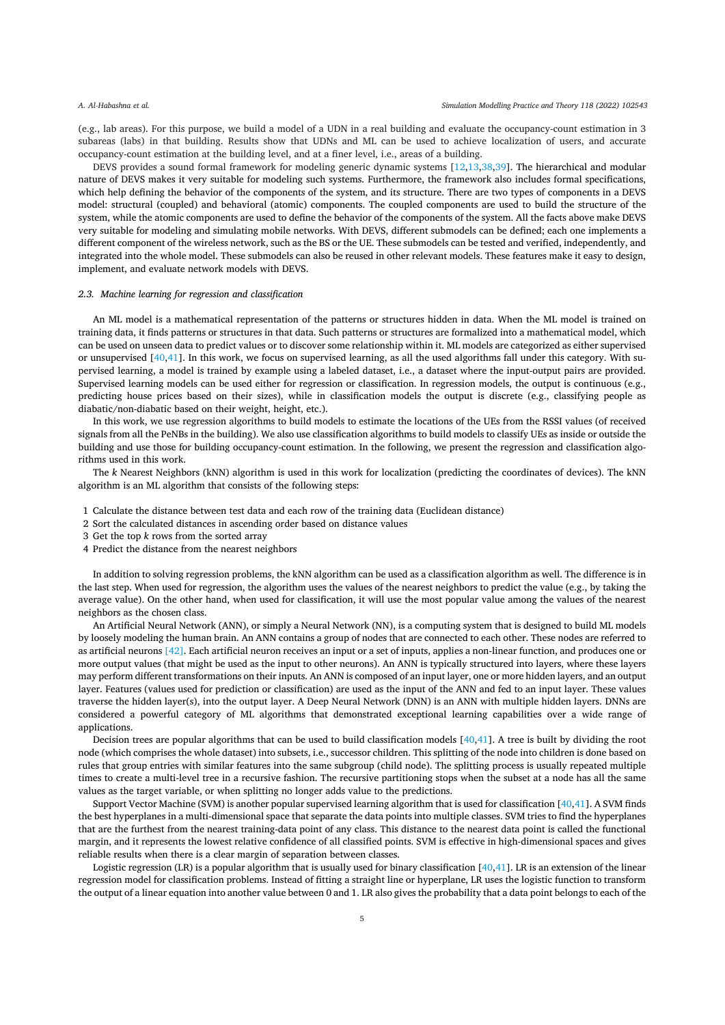(e.g., lab areas). For this purpose, we build a model of a UDN in a real building and evaluate the occupancy-count estimation in 3 subareas (labs) in that building. Results show that UDNs and ML can be used to achieve localization of users, and accurate occupancy-count estimation at the building level, and at a finer level, i.e., areas of a building.

DEVS provides a sound formal framework for modeling generic dynamic systems [12,13,38,39]. The hierarchical and modular nature of DEVS makes it very suitable for modeling such systems. Furthermore, the framework also includes formal specifications, which help defining the behavior of the components of the system, and its structure. There are two types of components in a DEVS model: structural (coupled) and behavioral (atomic) components. The coupled components are used to build the structure of the system, while the atomic components are used to define the behavior of the components of the system. All the facts above make DEVS very suitable for modeling and simulating mobile networks. With DEVS, different submodels can be defined; each one implements a different component of the wireless network, such as the BS or the UE. These submodels can be tested and verified, independently, and integrated into the whole model. These submodels can also be reused in other relevant models. These features make it easy to design, implement, and evaluate network models with DEVS.

## 2.3. Machine learning for regression and classification

An ML model is a mathematical representation of the patterns or structures hidden in data. When the ML model is trained on training data, it finds patterns or structures in that data. Such patterns or structures are formalized into a mathematical model, which can be used on unseen data to predict values or to discover some relationship within it. ML models are categorized as either supervised or unsupervised  $[40,41]$ . In this work, we focus on supervised learning, as all the used algorithms fall under this category. With supervised learning, a model is trained by example using a labeled dataset, i.e., a dataset where the input-output pairs are provided. Supervised learning models can be used either for regression or classification. In regression models, the output is continuous (e.g., predicting house prices based on their sizes), while in classification models the output is discrete (e.g., classifying people as diabatic/non-diabatic based on their weight, height, etc.).

In this work, we use regression algorithms to build models to estimate the locations of the UEs from the RSSI values (of received signals from all the PeNBs in the building). We also use classification algorithms to build models to classify UEs as inside or outside the building and use those for building occupancy-count estimation. In the following, we present the regression and classification algorithms used in this work.

The k Nearest Neighbors (kNN) algorithm is used in this work for localization (predicting the coordinates of devices). The kNN algorithm is an ML algorithm that consists of the following steps:

- 1 Calculate the distance between test data and each row of the training data (Euclidean distance)
- 2 Sort the calculated distances in ascending order based on distance values
- 3 Get the top  $k$  rows from the sorted array
- 4 Predict the distance from the nearest neighbors

In addition to solving regression problems, the kNN algorithm can be used as a classification algorithm as well. The difference is in the last step. When used for regression, the algorithm uses the values of the nearest neighbors to predict the value (e.g., by taking the average value). On the other hand, when used for classification, it will use the most popular value among the values of the nearest neighbors as the chosen class.

An Artificial Neural Network (ANN), or simply a Neural Network (NN), is a computing system that is designed to build ML models by loosely modeling the human brain. An ANN contains a group of nodes that are connected to each other. These nodes are referred to as artificial neurons [42]. Each artificial neuron receives an input or a set of inputs, applies a non-linear function, and produces one or more output values (that might be used as the input to other neurons). An ANN is typically structured into layers, where these layers may perform different transformations on their inputs. An ANN is composed of an input layer, one or more hidden layers, and an output layer. Features (values used for prediction or classification) are used as the input of the ANN and fed to an input layer. These values traverse the hidden layer(s), into the output layer. A Deep Neural Network (DNN) is an ANN with multiple hidden layers. DNNs are considered a powerful category of ML algorithms that demonstrated exceptional learning capabilities over a wide range of applications.

Decision trees are popular algorithms that can be used to build classification models [40,41]. A tree is built by dividing the root node (which comprises the whole dataset) into subsets, i.e., successor children. This splitting of the node into children is done based on rules that group entries with similar features into the same subgroup (child node). The splitting process is usually repeated multiple times to create a multi-level tree in a recursive fashion. The recursive partitioning stops when the subset at a node has all the same values as the target variable, or when splitting no longer adds value to the predictions.

Support Vector Machine (SVM) is another popular supervised learning algorithm that is used for classification [40,41]. A SVM finds the best hyperplanes in a multi-dimensional space that separate the data points into multiple classes. SVM tries to find the hyperplanes that are the furthest from the nearest training-data point of any class. This distance to the nearest data point is called the functional margin, and it represents the lowest relative confidence of all classified points. SVM is effective in high-dimensional spaces and gives reliable results when there is a clear margin of separation between classes.

Logistic regression (LR) is a popular algorithm that is usually used for binary classification  $[40,41]$ . LR is an extension of the linear regression model for classification problems. Instead of fitting a straight line or hyperplane, LR uses the logistic function to transform the output of a linear equation into another value between 0 and 1. LR also gives the probability that a data point belongs to each of the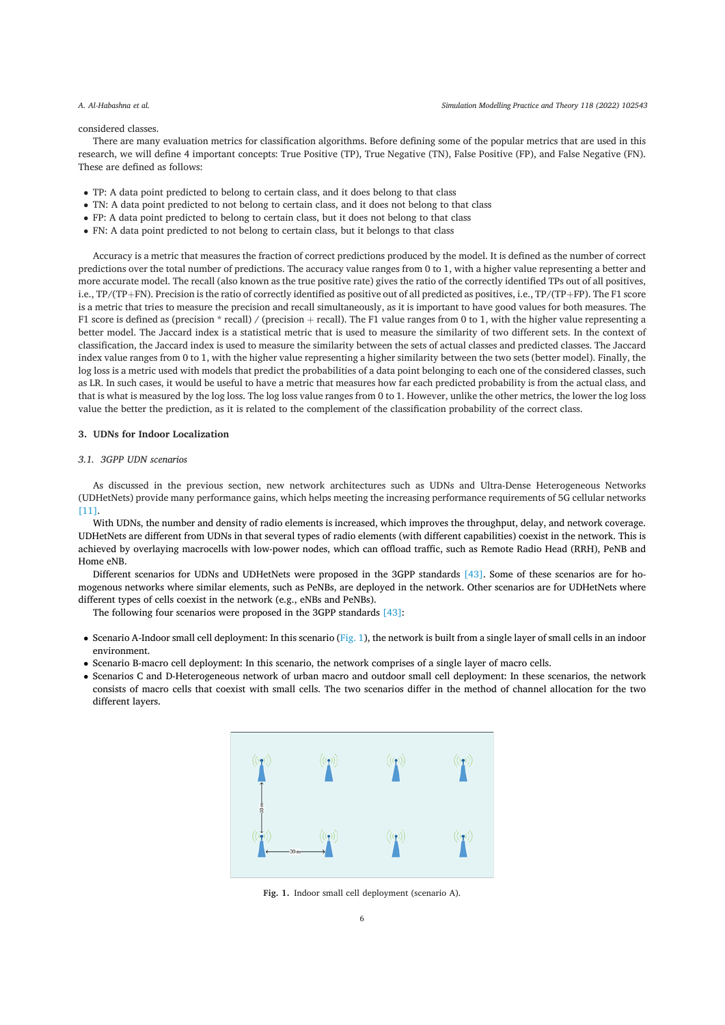## considered classes.

There are many evaluation metrics for classification algorithms. Before defining some of the popular metrics that are used in this research, we will define 4 important concepts: True Positive (TP), True Negative (TN), False Positive (FP), and False Negative (FN). These are defined as follows:

- TP: A data point predicted to belong to certain class, and it does belong to that class
- TN: A data point predicted to not belong to certain class, and it does not belong to that class
- FP: A data point predicted to belong to certain class, but it does not belong to that class
- FN: A data point predicted to not belong to certain class, but it belongs to that class

Accuracy is a metric that measures the fraction of correct predictions produced by the model. It is defined as the number of correct predictions over the total number of predictions. The accuracy value ranges from 0 to 1, with a higher value representing a better and more accurate model. The recall (also known as the true positive rate) gives the ratio of the correctly identified TPs out of all positives, i.e., TP/(TP+FN). Precision is the ratio of correctly identified as positive out of all predicted as positives, i.e., TP/(TP+FP). The F1 score is a metric that tries to measure the precision and recall simultaneously, as it is important to have good values for both measures. The F1 score is defined as (precision \* recall) / (precision + recall). The F1 value ranges from 0 to 1, with the higher value representing a better model. The Jaccard index is a statistical metric that is used to measure the similarity of two different sets. In the context of classification, the Jaccard index is used to measure the similarity between the sets of actual classes and predicted classes. The Jaccard index value ranges from 0 to 1, with the higher value representing a higher similarity between the two sets (better model). Finally, the log loss is a metric used with models that predict the probabilities of a data point belonging to each one of the considered classes, such as LR. In such cases, it would be useful to have a metric that measures how far each predicted probability is from the actual class, and that is what is measured by the log loss. The log loss value ranges from 0 to 1. However, unlike the other metrics, the lower the log loss value the better the prediction, as it is related to the complement of the classification probability of the correct class.

## 3. UDNs for Indoor Localization

## 3.1 3GPP HDN scenarios

As discussed in the previous section, new network architectures such as UDNs and Ultra-Dense Heterogeneous Networks (UDHetNets) provide many performance gains, which helps meeting the increasing performance requirements of 5G cellular networks  $[11]$ 

With UDNs, the number and density of radio elements is increased, which improves the throughput, delay, and network coverage. UDHetNets are different from UDNs in that several types of radio elements (with different capabilities) coexist in the network. This is achieved by overlaying macrocells with low-power nodes, which can offload traffic, such as Remote Radio Head (RRH), PeNB and Home eNB.

Different scenarios for UDNs and UDHetNets were proposed in the 3GPP standards [43]. Some of these scenarios are for homogenous networks where similar elements, such as PeNBs, are deployed in the network. Other scenarios are for UDHetNets where different types of cells coexist in the network (e.g., eNBs and PeNBs).

The following four scenarios were proposed in the 3GPP standards [43]:

- Scenario A-Indoor small cell deployment: In this scenario (Fig. 1), the network is built from a single layer of small cells in an indoor environment.
- Scenario B-macro cell deployment: In this scenario, the network comprises of a single layer of macro cells.
- Scenarios C and D-Heterogeneous network of urban macro and outdoor small cell deployment: In these scenarios, the network consists of macro cells that coexist with small cells. The two scenarios differ in the method of channel allocation for the two different lavers.



Fig. 1. Indoor small cell deployment (scenario A).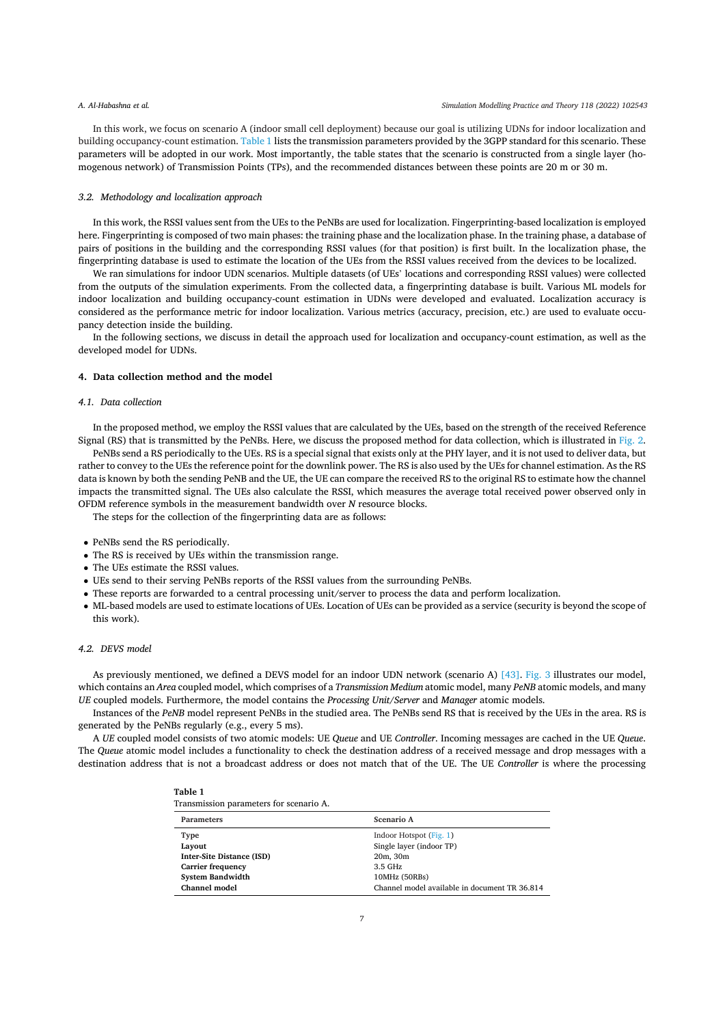In this work, we focus on scenario A (indoor small cell deployment) because our goal is utilizing UDNs for indoor localization and building occupancy-count estimation. Table 1 lists the transmission parameters provided by the 3GPP standard for this scenario. These parameters will be adopted in our work. Most importantly, the table states that the scenario is constructed from a single layer (homogenous network) of Transmission Points (TPs), and the recommended distances between these points are 20 m or 30 m.

## 3.2. Methodology and localization approach

In this work, the RSSI values sent from the UEs to the PeNBs are used for localization. Fingerprinting-based localization is employed here. Fingerprinting is composed of two main phases: the training phase and the localization phase. In the training phase, a database of pairs of positions in the building and the corresponding RSSI values (for that position) is first built. In the localization phase, the fingerprinting database is used to estimate the location of the UEs from the RSSI values received from the devices to be localized.

We ran simulations for indoor UDN scenarios. Multiple datasets (of UEs' locations and corresponding RSSI values) were collected from the outputs of the simulation experiments. From the collected data, a fingerprinting database is built. Various ML models for indoor localization and building occupancy-count estimation in UDNs were developed and evaluated. Localization accuracy is considered as the performance metric for indoor localization. Various metrics (accuracy, precision, etc.) are used to evaluate occupancy detection inside the building.

In the following sections, we discuss in detail the approach used for localization and occupancy-count estimation, as well as the developed model for UDNs.

#### 4. Data collection method and the model

#### 4.1. Data collection

In the proposed method, we employ the RSSI values that are calculated by the UEs, based on the strength of the received Reference Signal (RS) that is transmitted by the PeNBs. Here, we discuss the proposed method for data collection, which is illustrated in Fig. 2.

PeNBs send a RS periodically to the UEs. RS is a special signal that exists only at the PHY layer, and it is not used to deliver data, but rather to convey to the UEs the reference point for the downlink power. The RS is also used by the UEs for channel estimation. As the RS data is known by both the sending PeNB and the UE, the UE can compare the received RS to the original RS to estimate how the channel impacts the transmitted signal. The UEs also calculate the RSSI, which measures the average total received power observed only in OFDM reference symbols in the measurement bandwidth over N resource blocks.

The steps for the collection of the fingerprinting data are as follows:

- PeNBs send the RS periodically.
- The RS is received by UEs within the transmission range.
- The UEs estimate the RSSI values.
- UEs send to their serving PeNBs reports of the RSSI values from the surrounding PeNBs.
- These reports are forwarded to a central processing unit/server to process the data and perform localization.
- ML-based models are used to estimate locations of UEs. Location of UEs can be provided as a service (security is beyond the scope of this work).

## 4.2. DEVS model

As previously mentioned, we defined a DEVS model for an indoor UDN network (scenario A) [43]. Fig. 3 illustrates our model, which contains an Area coupled model, which comprises of a Transmission Medium atomic model, many PeNB atomic models, and many UE coupled models. Furthermore, the model contains the Processing Unit/Server and Manager atomic models.

Instances of the PeNB model represent PeNBs in the studied area. The PeNBs send RS that is received by the UEs in the area. RS is generated by the PeNBs regularly (e.g., every 5 ms).

A UE coupled model consists of two atomic models: UE Queue and UE Controller. Incoming messages are cached in the UE Queue. The Queue atomic model includes a functionality to check the destination address of a received message and drop messages with a destination address that is not a broadcast address or does not match that of the UE. The UE Controller is where the processing

| таріе т                                 |  |  |
|-----------------------------------------|--|--|
| Transmission parameters for scenario A. |  |  |

 $-$ 

| Parameters                       | Scenario A                                    |
|----------------------------------|-----------------------------------------------|
| Type                             | Indoor Hotspot (Fig. 1)                       |
| Layout                           | Single layer (indoor TP)                      |
| <b>Inter-Site Distance (ISD)</b> | $20m$ , $30m$                                 |
| <b>Carrier frequency</b>         | 3.5 GHz                                       |
| <b>System Bandwidth</b>          | 10MHz (50RBs)                                 |
| <b>Channel model</b>             | Channel model available in document TR 36.814 |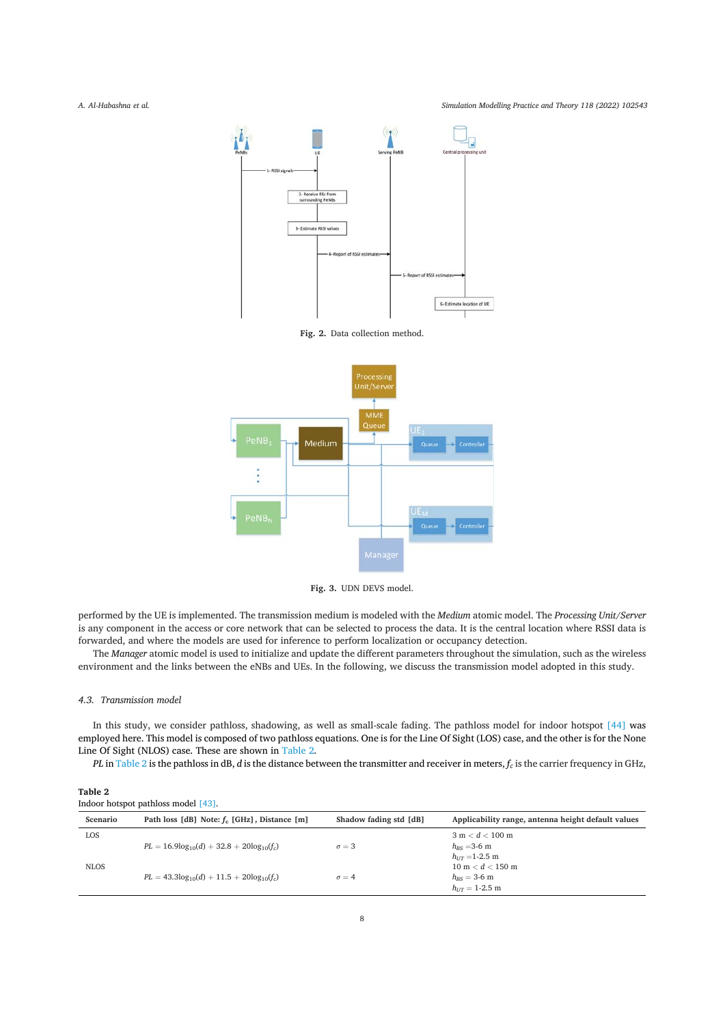Simulation Modelling Practice and Theory 118 (2022) 102543



Fig. 2. Data collection method.



Fig. 3. UDN DEVS model.

performed by the UE is implemented. The transmission medium is modeled with the Medium atomic model. The Processing Unit/Server is any component in the access or core network that can be selected to process the data. It is the central location where RSSI data is forwarded, and where the models are used for inference to perform localization or occupancy detection.

The Manager atomic model is used to initialize and update the different parameters throughout the simulation, such as the wireless environment and the links between the eNBs and UEs. In the following, we discuss the transmission model adopted in this study.

## 4.3. Transmission model

In this study, we consider pathloss, shadowing, as well as small-scale fading. The pathloss model for indoor hotspot [44] was employed here. This model is composed of two pathloss equations. One is for the Line Of Sight (LOS) case, and the other is for the None Line Of Sight (NLOS) case. These are shown in Table 2.

PL in Table 2 is the pathloss in dB, d is the distance between the transmitter and receiver in meters,  $f_c$  is the carrier frequency in GHz,

| Table 2                             |  |
|-------------------------------------|--|
| Indoor hotspot pathloss model [43]. |  |

| Scenario    | Path loss [dB] Note: $f_c$ [GHz], Distance [m]      | Shadow fading std [dB] | Applicability range, antenna height default values         |
|-------------|-----------------------------------------------------|------------------------|------------------------------------------------------------|
| LOS         | $PL = 16.9 \log_{10}(d) + 32.8 + 20 \log_{10}(f_c)$ | $\sigma = 3$           | 3 m < d < 100 m<br>$h_{RS} = 3.6$ m                        |
| <b>NLOS</b> |                                                     |                        | $h_{UT} = 1 - 2.5$ m<br>$10 \text{ m} < d < 150 \text{ m}$ |
|             | $PL = 43.3\log_{10}(d) + 11.5 + 20\log_{10}(f_c)$   | $\sigma = 4$           | $h_{BS} = 3.6$ m<br>$h_{IT} = 1 - 2.5$ m                   |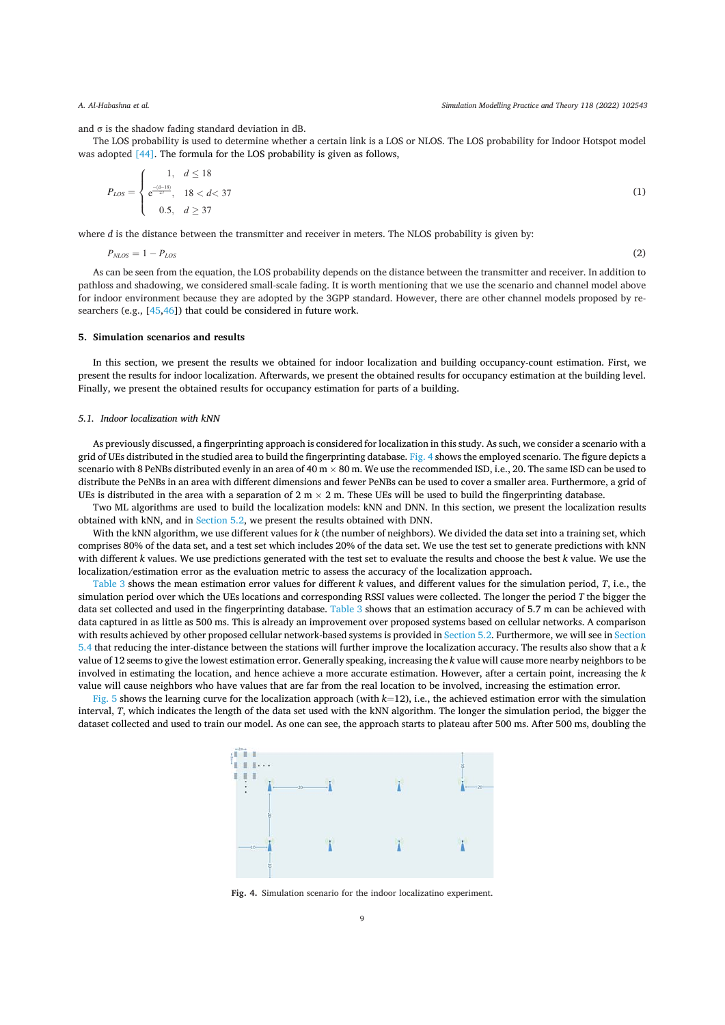and  $\sigma$  is the shadow fading standard deviation in dB.

The LOS probability is used to determine whether a certain link is a LOS or NLOS. The LOS probability for Indoor Hotspot model was adopted [44]. The formula for the LOS probability is given as follows,

$$
P_{LOS} = \begin{cases} 1, & d \le 18 \\ e^{\frac{-(d-18)}{27}}, & 18 < d < 37 \\ 0.5, & d > 37 \end{cases}
$$
 (1)

where d is the distance between the transmitter and receiver in meters. The NLOS probability is given by:

$$
P_{NLOS} = 1 - P_{LOS} \tag{2}
$$

As can be seen from the equation, the LOS probability depends on the distance between the transmitter and receiver. In addition to pathloss and shadowing, we considered small-scale fading. It is worth mentioning that we use the scenario and channel model above for indoor environment because they are adopted by the 3GPP standard. However, there are other channel models proposed by researchers (e.g., [45,46]) that could be considered in future work.

## 5. Simulation scenarios and results

In this section, we present the results we obtained for indoor localization and building occupancy-count estimation. First, we present the results for indoor localization. Afterwards, we present the obtained results for occupancy estimation at the building level. Finally, we present the obtained results for occupancy estimation for parts of a building.

## 5.1. Indoor localization with kNN

As previously discussed, a fingerprinting approach is considered for localization in this study. As such, we consider a scenario with a grid of UEs distributed in the studied area to build the fingerprinting database. Fig. 4 shows the employed scenario. The figure depicts a scenario with 8 PeNBs distributed evenly in an area of 40 m  $\times$  80 m. We use the recommended ISD, i.e., 20. The same ISD can be used to distribute the PeNBs in an area with different dimensions and fewer PeNBs can be used to cover a smaller area. Furthermore, a grid of UEs is distributed in the area with a separation of  $2 \text{ m} \times 2 \text{ m}$ . These UEs will be used to build the fingerprinting database.

Two ML algorithms are used to build the localization models: kNN and DNN. In this section, we present the localization results obtained with kNN, and in Section 5.2, we present the results obtained with DNN.

With the kNN algorithm, we use different values for k (the number of neighbors). We divided the data set into a training set, which comprises 80% of the data set, and a test set which includes 20% of the data set. We use the test set to generate predictions with kNN with different k values. We use predictions generated with the test set to evaluate the results and choose the best k value. We use the localization/estimation error as the evaluation metric to assess the accuracy of the localization approach.

Table 3 shows the mean estimation error values for different  $k$  values, and different values for the simulation period,  $T$ , i.e., the simulation period over which the UEs locations and corresponding RSSI values were collected. The longer the period T the bigger the data set collected and used in the fingerprinting database. Table 3 shows that an estimation accuracy of 5.7 m can be achieved with data captured in as little as 500 ms. This is already an improvement over proposed systems based on cellular networks. A comparison with results achieved by other proposed cellular network-based systems is provided in Section 5.2. Furthermore, we will see in Section 5.4 that reducing the inter-distance between the stations will further improve the localization accuracy. The results also show that a k value of 12 seems to give the lowest estimation error. Generally speaking, increasing the k value will cause more nearby neighbors to be involved in estimating the location, and hence achieve a more accurate estimation. However, after a certain point, increasing the k value will cause neighbors who have values that are far from the real location to be involved, increasing the estimation error.

Fig. 5 shows the learning curve for the localization approach (with  $k=12$ ), i.e., the achieved estimation error with the simulation interval, T, which indicates the length of the data set used with the kNN algorithm. The longer the simulation period, the bigger the dataset collected and used to train our model. As one can see, the approach starts to plateau after 500 ms. After 500 ms, doubling the



Fig. 4. Simulation scenario for the indoor localizatino experiment.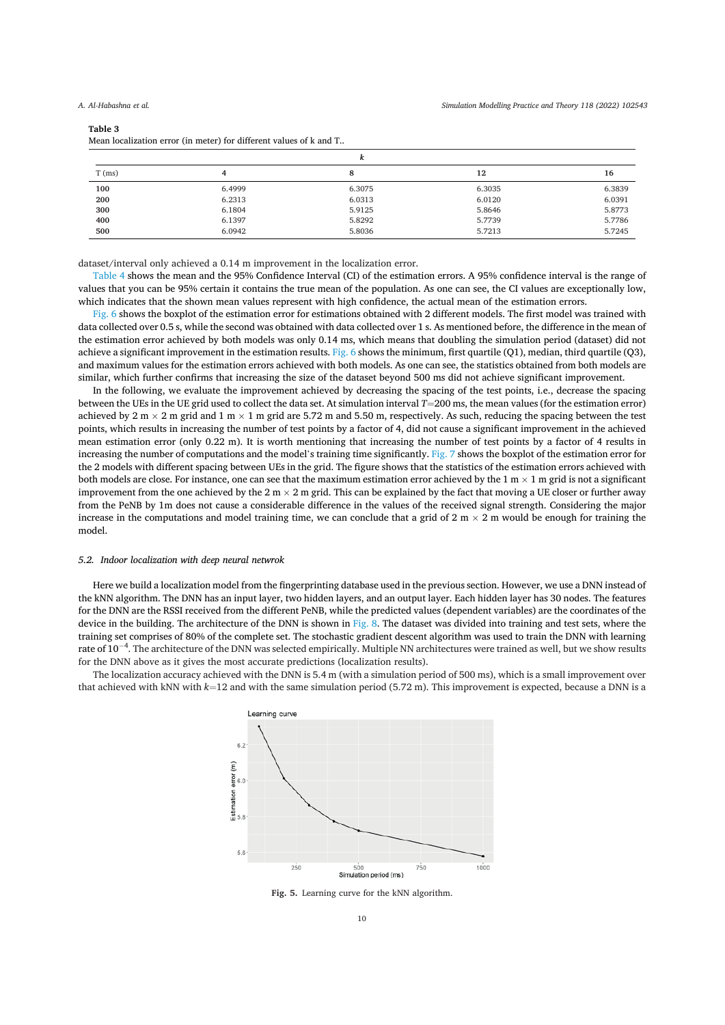#### Table 3

Mean localization error (in meter) for different values of k and T.

| ^        |        |        |        |        |  |
|----------|--------|--------|--------|--------|--|
| $T$ (ms) | 4      | 8      | 12     | 16     |  |
| 100      | 6.4999 | 6.3075 | 6.3035 | 6.3839 |  |
| 200      | 6.2313 | 6.0313 | 6.0120 | 6.0391 |  |
| 300      | 6.1804 | 5.9125 | 5.8646 | 5.8773 |  |
| 400      | 6.1397 | 5.8292 | 5.7739 | 5.7786 |  |
| 500      | 6.0942 | 5.8036 | 5.7213 | 5.7245 |  |

dataset/interval only achieved a 0.14 m improvement in the localization error.

Table 4 shows the mean and the 95% Confidence Interval (CI) of the estimation errors. A 95% confidence interval is the range of values that you can be 95% certain it contains the true mean of the population. As one can see, the CI values are exceptionally low, which indicates that the shown mean values represent with high confidence, the actual mean of the estimation errors.

Fig. 6 shows the boxplot of the estimation error for estimations obtained with 2 different models. The first model was trained with data collected over 0.5 s, while the second was obtained with data collected over 1 s. As mentioned before, the difference in the mean of the estimation error achieved by both models was only 0.14 ms, which means that doubling the simulation period (dataset) did not achieve a significant improvement in the estimation results. Fig. 6 shows the minimum, first quartile (Q1), median, third quartile (Q3), and maximum values for the estimation errors achieved with both models. As one can see, the statistics obtained from both models are similar, which further confirms that increasing the size of the dataset beyond 500 ms did not achieve significant improvement.

In the following, we evaluate the improvement achieved by decreasing the spacing of the test points, i.e., decrease the spacing between the UEs in the UE grid used to collect the data set. At simulation interval  $T=200$  ms, the mean values (for the estimation error) achieved by  $2 \text{ m} \times 2 \text{ m}$  grid and  $1 \text{ m} \times 1 \text{ m}$  grid are 5.72 m and 5.50 m, respectively. As such, reducing the spacing between the test points, which results in increasing the number of test points by a factor of 4, did not cause a significant improvement in the achieved mean estimation error (only 0.22 m). It is worth mentioning that increasing the number of test points by a factor of 4 results in increasing the number of computations and the model's training time significantly. Fig. 7 shows the boxplot of the estimation error for the 2 models with different spacing between UEs in the grid. The figure shows that the statistics of the estimation errors achieved with both models are close. For instance, one can see that the maximum estimation error achieved by the 1 m  $\times$  1 m grid is not a significant improvement from the one achieved by the  $2 m \times 2 m$  grid. This can be explained by the fact that moving a UE closer or further away from the PeNB by 1m does not cause a considerable difference in the values of the received signal strength. Considering the major increase in the computations and model training time, we can conclude that a grid of  $2 \text{ m} \times 2 \text{ m}$  would be enough for training the model

## 5.2. Indoor localization with deep neural netwrok

Here we build a localization model from the fingerprinting database used in the previous section. However, we use a DNN instead of the kNN algorithm. The DNN has an input layer, two hidden layers, and an output layer. Each hidden layer has 30 nodes. The features for the DNN are the RSSI received from the different PeNB, while the predicted values (dependent variables) are the coordinates of the device in the building. The architecture of the DNN is shown in Fig. 8. The dataset was divided into training and test sets, where the training set comprises of 80% of the complete set. The stochastic gradient descent algorithm was used to train the DNN with learning rate of  $10^{-4}$ . The architecture of the DNN was selected empirically. Multiple NN architectures were trained as well, but we show results for the DNN above as it gives the most accurate predictions (localization results).

The localization accuracy achieved with the DNN is 5.4 m (with a simulation period of 500 ms), which is a small improvement over that achieved with kNN with  $k=12$  and with the same simulation period (5.72 m). This improvement is expected, because a DNN is a



Fig. 5. Learning curve for the kNN algorithm.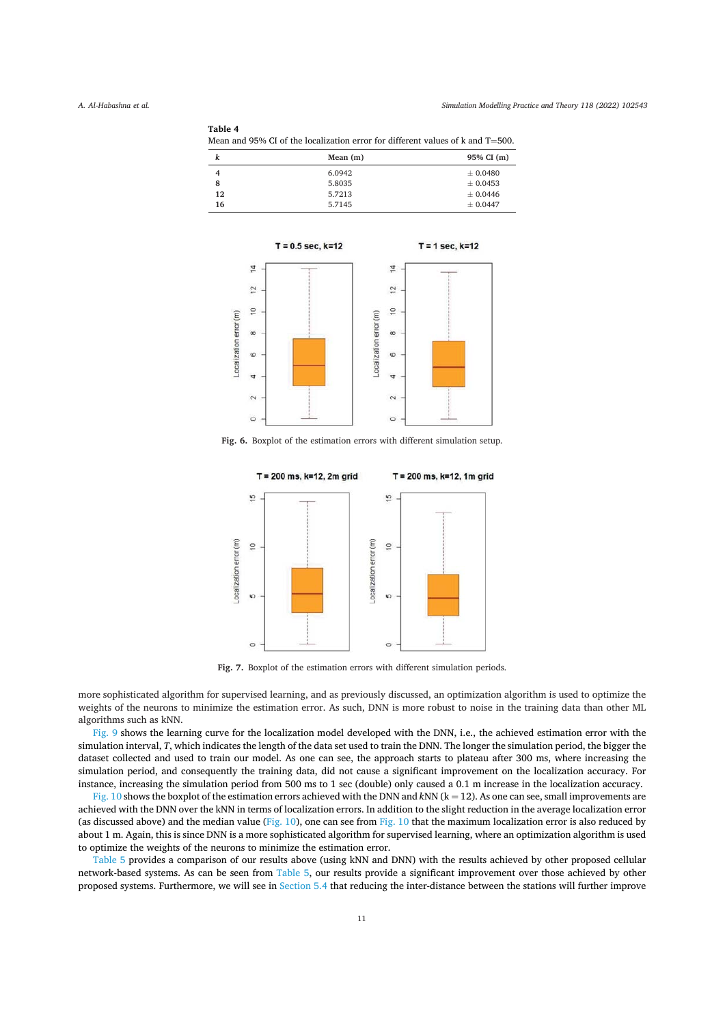Table 4

|            | Mean and 95% CI of the localization error for different values of k and $T=500$ . |
|------------|-----------------------------------------------------------------------------------|
| Mean $(m)$ | 95% CI (m)                                                                        |

|    | Mean $(m)$ | 95% CI (m)   |
|----|------------|--------------|
| 4  | 6.0942     | $\pm 0.0480$ |
| 8  | 5.8035     | $\pm 0.0453$ |
| 12 | 5.7213     | ± 0.0446     |
| 16 | 5.7145     | $\pm 0.0447$ |
|    |            |              |



Fig. 6. Boxplot of the estimation errors with different simulation setup.



Fig. 7. Boxplot of the estimation errors with different simulation periods.

more sophisticated algorithm for supervised learning, and as previously discussed, an optimization algorithm is used to optimize the weights of the neurons to minimize the estimation error. As such, DNN is more robust to noise in the training data than other ML algorithms such as kNN.

Fig. 9 shows the learning curve for the localization model developed with the DNN, i.e., the achieved estimation error with the simulation interval, T, which indicates the length of the data set used to train the DNN. The longer the simulation period, the bigger the dataset collected and used to train our model. As one can see, the approach starts to plateau after 300 ms, where increasing the simulation period, and consequently the training data, did not cause a significant improvement on the localization accuracy. For instance, increasing the simulation period from 500 ms to 1 sec (double) only caused a 0.1 m increase in the localization accuracy.

Fig. 10 shows the boxplot of the estimation errors achieved with the DNN and kNN  $(k = 12)$ . As one can see, small improvements are achieved with the DNN over the kNN in terms of localization errors. In addition to the slight reduction in the average localization error (as discussed above) and the median value (Fig. 10), one can see from Fig. 10 that the maximum localization error is also reduced by about 1 m. Again, this is since DNN is a more sophisticated algorithm for supervised learning, where an optimization algorithm is used to optimize the weights of the neurons to minimize the estimation error.

Table 5 provides a comparison of our results above (using kNN and DNN) with the results achieved by other proposed cellular network-based systems. As can be seen from Table 5, our results provide a significant improvement over those achieved by other proposed systems. Furthermore, we will see in Section 5.4 that reducing the inter-distance between the stations will further improve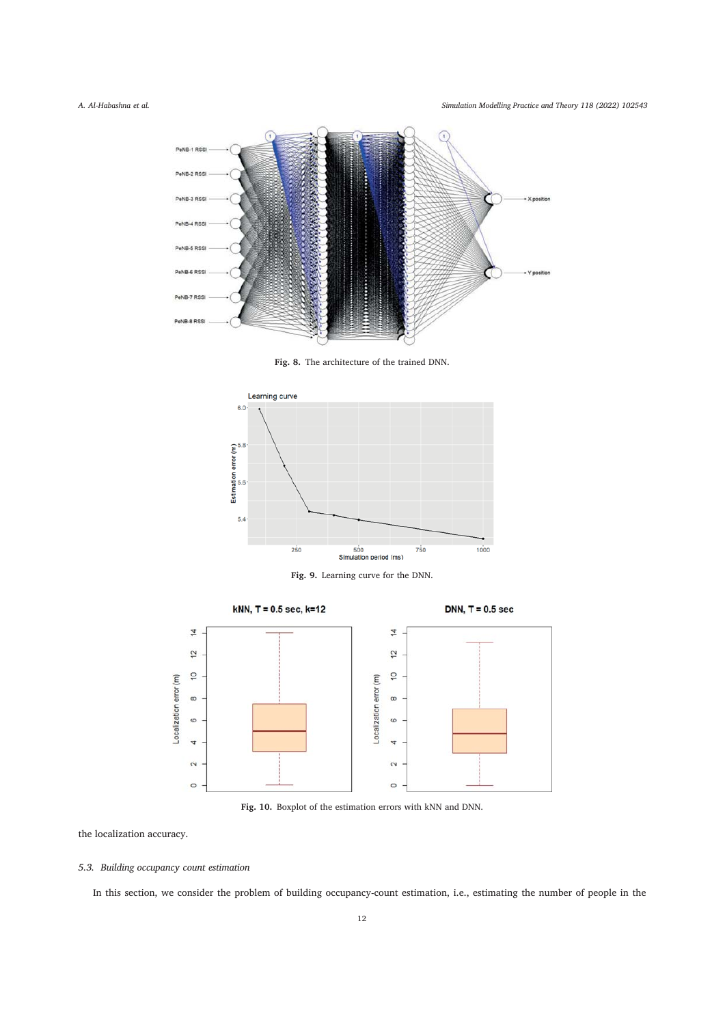Simulation Modelling Practice and Theory 118 (2022) 102543



Fig. 8. The architecture of the trained DNN.







Fig. 10. Boxplot of the estimation errors with kNN and DNN.

the localization accuracy.

## 5.3. Building occupancy count estimation

In this section, we consider the problem of building occupancy-count estimation, i.e., estimating the number of people in the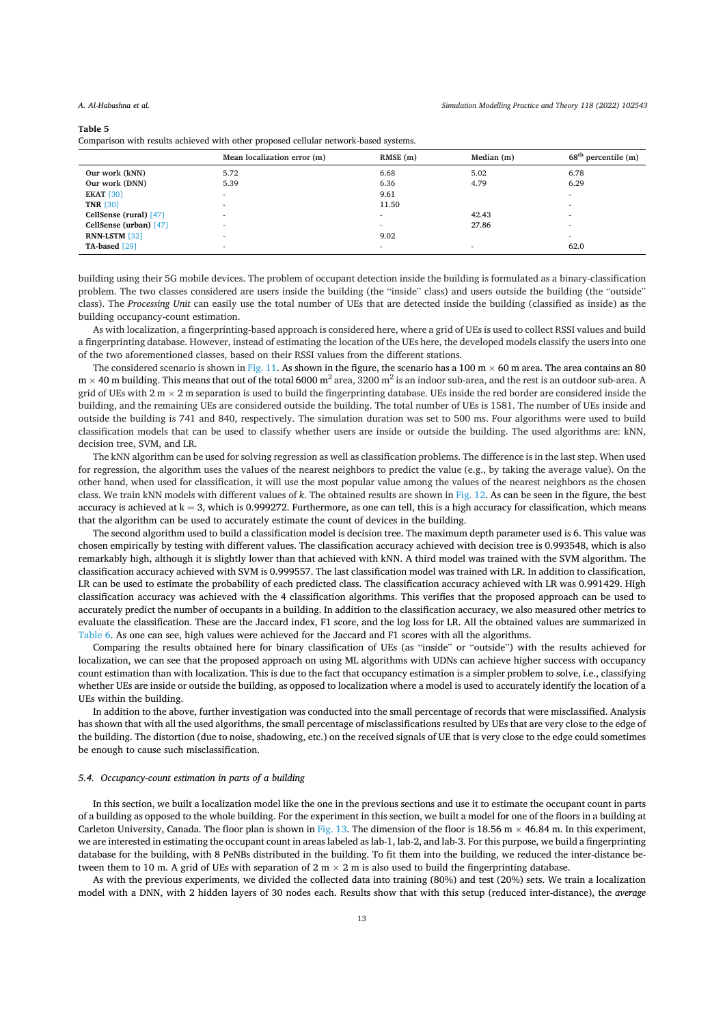#### Table 5

Comparison with results achieved with other proposed cellular network-based systems.

|                          | Mean localization error (m) | RMSE(m) | Median (m) | $68th$ percentile (m) |
|--------------------------|-----------------------------|---------|------------|-----------------------|
| Our work (kNN)           | 5.72                        | 6.68    | 5.02       | 6.78                  |
| Our work (DNN)           | 5.39                        | 6.36    | 4.79       | 6.29                  |
| <b>EKAT [30]</b>         |                             | 9.61    |            |                       |
| <b>TNR [30]</b>          |                             | 11.50   |            |                       |
| CellSense (rural) [47]   | -                           | -       | 42.43      |                       |
| CellSense (urban) $[47]$ | ۰                           |         | 27.86      |                       |
| RNN-LSTM [32]            |                             | 9.02    |            | ۰                     |
| TA-based [29]            |                             |         |            | 62.0                  |

building using their 5G mobile devices. The problem of occupant detection inside the building is formulated as a binary-classification problem. The two classes considered are users inside the building (the "inside" class) and users outside the building (the "outside" class). The Processing Unit can easily use the total number of UEs that are detected inside the building (classified as inside) as the building occupancy-count estimation.

As with localization, a fingerprinting-based approach is considered here, where a grid of UEs is used to collect RSSI values and build a fingerprinting database. However, instead of estimating the location of the UEs here, the developed models classify the users into one of the two aforementioned classes, based on their RSSI values from the different stations.

The considered scenario is shown in Fig. 11. As shown in the figure, the scenario has a 100 m  $\times$  60 m area. The area contains an 80  $m \times 40$  m building. This means that out of the total 6000  $m^2$  area, 3200  $m^2$  is an indoor sub-area, and the rest is an outdoor sub-area. A grid of UEs with  $2 \text{ m} \times 2 \text{ m}$  separation is used to build the fingerprinting database. UEs inside the red border are considered inside the building, and the remaining UEs are considered outside the building. The total number of UEs is 1581. The number of UEs inside and outside the building is 741 and 840, respectively. The simulation duration was set to 500 ms. Four algorithms were used to build classification models that can be used to classify whether users are inside or outside the building. The used algorithms are: kNN, decision tree, SVM, and LR.

The kNN algorithm can be used for solving regression as well as classification problems. The difference is in the last step. When used for regression, the algorithm uses the values of the nearest neighbors to predict the value (e.g., by taking the average value). On the other hand, when used for classification, it will use the most popular value among the values of the nearest neighbors as the chosen class. We train kNN models with different values of k. The obtained results are shown in Fig. 12. As can be seen in the figure, the best accuracy is achieved at  $k = 3$ , which is 0.999272. Furthermore, as one can tell, this is a high accuracy for classification, which means that the algorithm can be used to accurately estimate the count of devices in the building.

The second algorithm used to build a classification model is decision tree. The maximum depth parameter used is 6. This value was chosen empirically by testing with different values. The classification accuracy achieved with decision tree is 0.993548, which is also remarkably high, although it is slightly lower than that achieved with kNN. A third model was trained with the SVM algorithm. The classification accuracy achieved with SVM is 0.999557. The last classification model was trained with LR. In addition to classification, LR can be used to estimate the probability of each predicted class. The classification accuracy achieved with LR was 0.991429. High classification accuracy was achieved with the 4 classification algorithms. This verifies that the proposed approach can be used to accurately predict the number of occupants in a building. In addition to the classification accuracy, we also measured other metrics to evaluate the classification. These are the Jaccard index, F1 score, and the log loss for LR. All the obtained values are summarized in Table 6. As one can see, high values were achieved for the Jaccard and F1 scores with all the algorithms.

Comparing the results obtained here for binary classification of UEs (as "inside" or "outside") with the results achieved for localization, we can see that the proposed approach on using ML algorithms with UDNs can achieve higher success with occupancy count estimation than with localization. This is due to the fact that occupancy estimation is a simpler problem to solve, i.e., classifying whether UEs are inside or outside the building, as opposed to localization where a model is used to accurately identify the location of a UEs within the building.

In addition to the above, further investigation was conducted into the small percentage of records that were misclassified. Analysis has shown that with all the used algorithms, the small percentage of misclassifications resulted by UEs that are very close to the edge of the building. The distortion (due to noise, shadowing, etc.) on the received signals of UE that is very close to the edge could sometimes be enough to cause such misclassification.

## 5.4. Occupancy-count estimation in parts of a building

In this section, we built a localization model like the one in the previous sections and use it to estimate the occupant count in parts of a building as opposed to the whole building. For the experiment in this section, we built a model for one of the floors in a building at Carleton University, Canada. The floor plan is shown in Fig. 13. The dimension of the floor is 18.56 m  $\times$  46.84 m. In this experiment, we are interested in estimating the occupant count in areas labeled as lab-1, lab-2, and lab-3. For this purpose, we build a fingerprinting database for the building, with 8 PeNBs distributed in the building. To fit them into the building, we reduced the inter-distance between them to 10 m. A grid of UEs with separation of 2 m  $\times$  2 m is also used to build the fingerprinting database.

As with the previous experiments, we divided the collected data into training (80%) and test (20%) sets. We train a localization model with a DNN, with 2 hidden layers of 30 nodes each. Results show that with this setup (reduced inter-distance), the average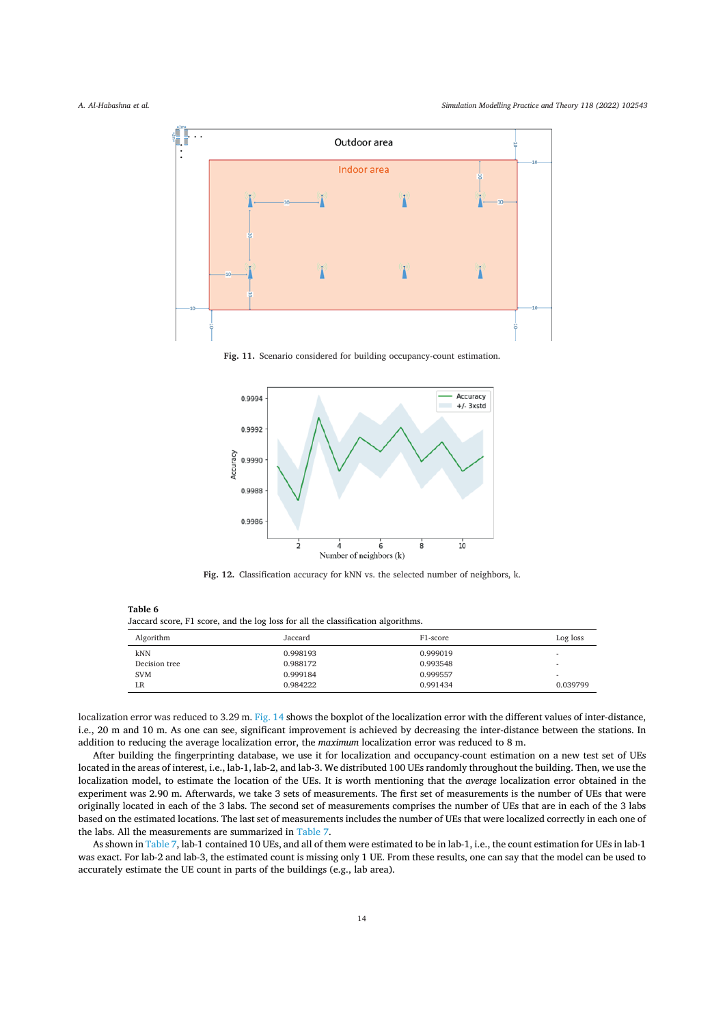

Fig. 11. Scenario considered for building occupancy-count estimation.



Fig. 12. Classification accuracy for kNN vs. the selected number of neighbors, k.

Table 6

Jaccard score, F1 score, and the log loss for all the classification algorithms.

| Algorithm     | Jaccard  | F1-score | Log loss                 |
|---------------|----------|----------|--------------------------|
| <b>kNN</b>    | 0.998193 | 0.999019 |                          |
| Decision tree | 0.988172 | 0.993548 |                          |
| <b>SVM</b>    | 0.999184 | 0.999557 | $\overline{\phantom{a}}$ |
| LR            | 0.984222 | 0.991434 | 0.039799                 |

localization error was reduced to 3.29 m. Fig. 14 shows the boxplot of the localization error with the different values of inter-distance, i.e., 20 m and 10 m. As one can see, significant improvement is achieved by decreasing the inter-distance between the stations. In addition to reducing the average localization error, the maximum localization error was reduced to  $8 \text{ m}$ .

After building the fingerprinting database, we use it for localization and occupancy-count estimation on a new test set of UEs located in the areas of interest, i.e., lab-1, lab-2, and lab-3. We distributed 100 UEs randomly throughout the building. Then, we use the localization model, to estimate the location of the UEs. It is worth mentioning that the average localization error obtained in the experiment was 2.90 m. Afterwards, we take 3 sets of measurements. The first set of measurements is the number of UEs that were originally located in each of the 3 labs. The second set of measurements comprises the number of UEs that are in each of the 3 labs based on the estimated locations. The last set of measurements includes the number of UEs that were localized correctly in each one of the labs. All the measurements are summarized in Table 7.

As shown in Table 7, lab-1 contained 10 UEs, and all of them were estimated to be in lab-1, i.e., the count estimation for UEs in lab-1 was exact. For lab-2 and lab-3, the estimated count is missing only 1 UE. From these results, one can say that the model can be used to accurately estimate the UE count in parts of the buildings (e.g., lab area).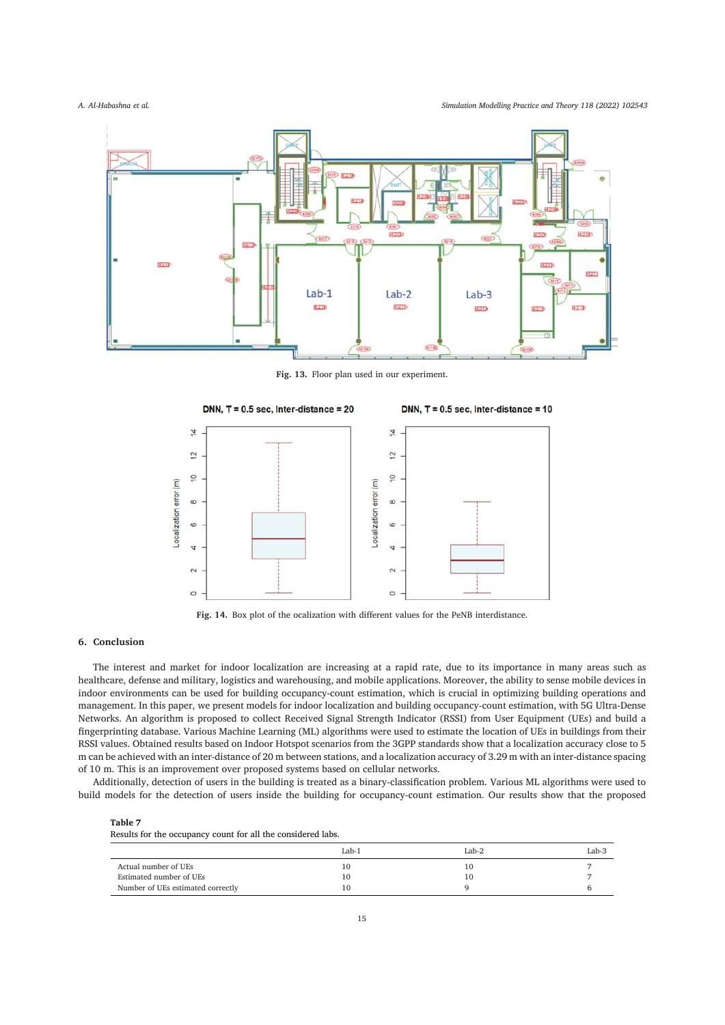A. Al-Habashna et al.

Simulation Modelling Practice and Theory 118 (2022) 102543



Fig. 13. Floor plan used in our experiment.



Fig. 14. Box plot of the ocalization with different values for the PeNB interdistance.

## 6. Conclusion

The interest and market for indoor localization are increasing at a rapid rate, due to its importance in many areas such as healthcare, defense and military, logistics and warehousing, and mobile applications. Moreover, the ability to sense mobile devices in indoor environments can be used for building occupancy-count estimation, which is crucial in optimizing building operations and management. In this paper, we present models for indoor localization and building occupancy-count estimation, with 5G Ultra-Dense Networks. An algorithm is proposed to collect Received Signal Strength Indicator (RSSI) from User Equipment (UEs) and build a fingerprinting database. Various Machine Learning (ML) algorithms were used to estimate the location of UEs in buildings from their RSSI values. Obtained results based on Indoor Hotspot scenarios from the 3GPP standards show that a localization accuracy close to 5 m can be achieved with an inter-distance of 20 m between stations, and a localization accuracy of 3.29 m with an inter-distance spacing of 10 m. This is an improvement over proposed systems based on cellular networks.

Additionally, detection of users in the building is treated as a binary-classification problem. Various ML algorithms were used to build models for the detection of users inside the building for occupancy-count estimation. Our results show that the proposed

Table 7 Results for the occupancy count for all the considered labs.

| . .<br>. |         |         |
|----------|---------|---------|
| $Lab-1$  | $Lab-2$ | $Lab-3$ |
| 10       | 10      |         |
| 10       | 10      |         |
| 10       |         |         |
|          |         |         |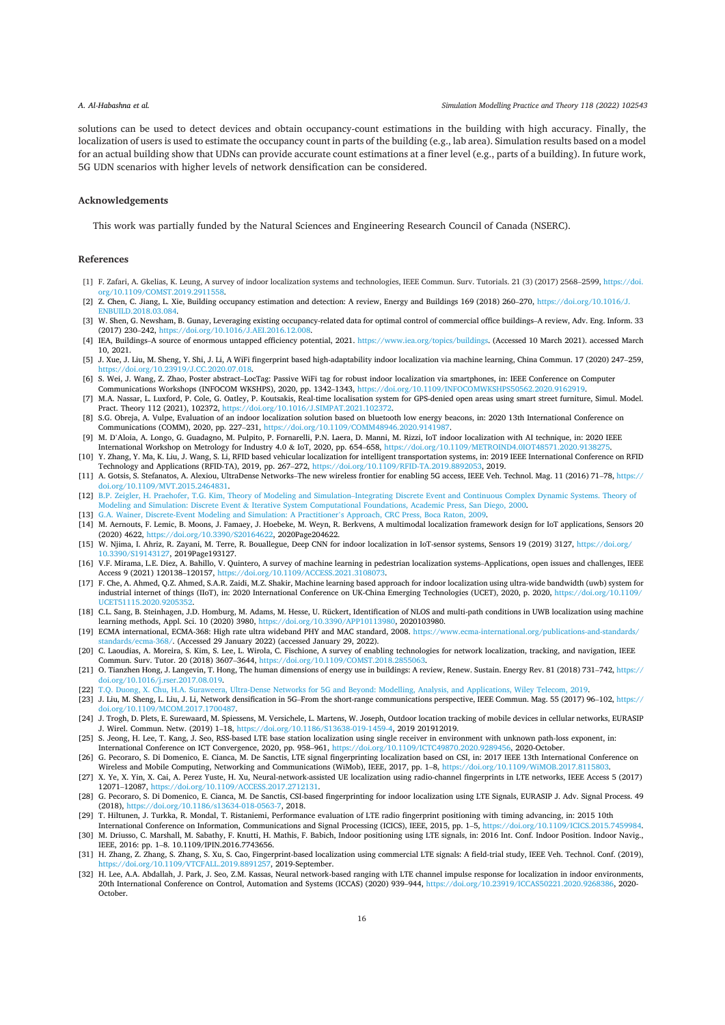solutions can be used to detect devices and obtain occupancy-count estimations in the building with high accuracy. Finally, the localization of users is used to estimate the occupancy count in parts of the building (e.g., lab area). Simulation results based on a model for an actual building show that UDNs can provide accurate count estimations at a finer level (e.g., parts of a building). In future work, 5G UDN scenarios with higher levels of network densification can be considered.

#### Acknowledgements

This work was partially funded by the Natural Sciences and Engineering Research Council of Canada (NSERC).

## References

- [1] F. Zafari, A. Gkelias, K. Leung, A survey of indoor localization systems and technologies, IEEE Commun. Surv. Tutorials. 21 (3) (2017) 2568-2599, https://doi. α/10 1109/COMST 2019 2911558
- [2] Z. Chen, C. Jiang, L. Xie, Building occupancy estimation and detection: A review, Energy and Buildings 169 (2018) 260-270, https://doi.org/10.1016/J. ENBUILD.2018.03.084
- [3] W. Shen, G. Newsham, B. Gunay, Leveraging existing occupancy-related data for optimal control of commercial office buildings-A review, Adv. Eng. Inform. 33 (2017) 230-242, https://doi.org/10.1016/J.AEI.2016.12.008
- [4] IEA, Buildings-A source of enormous untapped efficiency potential, 2021. https://www.iea.org/topics/buildings. (Accessed 10 March 2021). accessed March 10.2021.
- [5] J. Xue, J. Liu, M. Sheng, Y. Shi, J. Li, A WiFi fingerprint based high-adaptability indoor localization via machine learning, China Commun. 17 (2020) 247-259, https://doi.org/10.23919/J.CC.2020.07.018.
- [6] S. Wei, J. Wang, Z. Zhao, Poster abstract-LocTag: Passive WiFi tag for robust indoor localization via smartphones, in: IEEE Conference on Computer Communications Workshops (INFOCOM WKSHPS), 2020, pp. 1342-1343, https://doi.org/10.1109/INFOCOMWKSHPS50562.2020.9162919
- [7] M.A. Nassar, L. Luxford, P. Cole, G. Oatley, P. Koutsakis, Real-time localisation system for GPS-denied open areas using smart street furniture, Simul. Model. Pract. Theory 112 (2021), 102372. https://doi.org/10.1016/J.SIMPAT.2021.102372
- [8] S.G. Obreja, A. Vulpe, Evaluation of an indoor localization solution based on bluetooth low energy beacons, in: 2020 13th International Conference on Communications (COMM), 2020, pp. 227-231, https://doi.org/10.1109/COMM48946.2020.9141987
- [9] M. D'Aloia, A. Longo, G. Guadagno, M. Pulpito, P. Fornarelli, P.N. Laera, D. Manni, M. Rizzi, IoT indoor localization with AI technique, in: 2020 IEEE
- International Workshop on Metrology for Industry 4.0 & IoT, 2020, pp. 654-658, https://doi.org/10.1109/METROIND4.0IOT48571.2020.913827 [10] Y. Zhang, Y. Ma, K. Liu, J. Wang, S. Li, RFID based vehicular localization for intelligent transportation systems, in: 2019 IEEE International Conference on RFID Technology and Applications (RFID-TA), 2019, pp. 267-272, https://doi.org/10.1109/RFID-TA.2019.8892053, 2019.
- [11] A. Gotsis, S. Stefanatos, A. Alexiou, UltraDense Networks-The new wireless frontier for enabling 5G access, IEEE Veh. Technol. Mag. 11 (2016) 71-78, https:// doi.org/10.1109/MVT.2015.2464831.
- [12] B.P. Zeigler, H. Praehofer, T.G. Kim, Theory of Modeling and Simulation-Integrating Discrete Event and Continuous Complex Dynamic Systems. Theory of Modeling and Simulation: Discrete Event & Iterative System Computational Foundations, Academic Press, San Diego, 2000.
- [13] G.A. Wainer, Discrete-Event Modeling and Simulation: A Practitioner's Approach, CRC Press, Boca Raton, 2009.
- [14] M. Aernouts, F. Lemic, B. Moons, J. Famaey, J. Hoebeke, M. Weyn, R. Berkvens, A multimodal localization framework design for IoT applications, Sensors 20 (2020) 4622, https://doi.org/10.3390/S20164622, 2020Page204622.
- [15] W. Njima, I. Ahriz, R. Zayani, M. Terre, R. Bouallegue, Deep CNN for indoor localization in IoT-sensor systems, Sensors 19 (2019) 3127, https://doi.org/ 10.3390/S19143127, 2019Page193127.
- [16] V.F. Mirama, L.E. Diez, A. Bahillo, V. Quintero, A survey of machine learning in pedestrian localization systems-Applications, open issues and challenges, IEEE Access 9 (2021) 120138-120157, https://doi.org/10.1109/ACCESS.2021.3108073.
- [17] F. Che, A. Ahmed, Q.Z. Ahmed, S.A.R. Zaidi, M.Z. Shakir, Machine learning based approach for indoor localization using ultra-wide bandwidth (uwb) system for industrial internet of things (IIoT), in: 2020 International Conference on UK-China Emerging Technologies (UCET), 2020, p. 2020, https://doi.org/10.1109/ UCET51115.2020.9205352
- [18] C.L. Sang, B. Steinhagen, J.D. Homburg, M. Adams, M. Hesse, U. Rückert, Identification of NLOS and multi-path conditions in UWB localization using machine learning methods, Appl. Sci. 10 (2020) 3980, https://doi.org/10.3390/APP10113980, 2020103980.
- [19] ECMA international, ECMA-368: High rate ultra wideband PHY and MAC standard, 2008. https://www.ecma-international.org/publications-and-standards/ tandards/ecma-368/. (Accessed 29 January 2022) (accessed January 29, 2022).
- [20] C. Laoudias, A. Moreira, S. Kim, S. Lee, L. Wirola, C. Fischione, A survey of enabling technologies for network localization, tracking, and navigation, IEEE Commun. Surv. Tutor. 20 (2018) 3607-3644, https://doi.org/10.1109/COMST.2018.2855063
- [21] O. Tianzhen Hong, J. Langevin, T. Hong, The human dimensions of energy use in buildings: A review, Renew. Sustain. Energy Rev. 81 (2018) 731-742, https:// doi.org/10.1016/j.rser.2017.08.019.
- [22] T.Q. Duong, X. Chu, H.A. Suraweera, Ultra-Dense Networks for 5G and Beyond: Modelling, Analysis, and Applications, Wiley Telecom, 2019
- [23] J. Liu, M. Sheng, L. Liu, J. Li, Network densification in 5G-From the short-range communications perspective, IEEE Commun. Mag. 55 (2017) 96-102, https:// doi.org/10.1109/MCOM.2017.1700487
- [24] J. Trogh, D. Plets, E. Surewaard, M. Spiessens, M. Versichele, L. Martens, W. Joseph, Outdoor location tracking of mobile devices in cellular networks, EURASIP J. Wirel. Commun. Netw. (2019) 1-18, https://doi.org/10.1
- [25] S. Jeong, H. Lee, T. Kang, J. Seo, RSS-based LTE base station localization using single receiver in environment with unknown path-loss exponent, in: International Conference on ICT Convergence, 2020, pp. 958-961, https://doi.org/10.1109/ICTC49870.2020.9289456, 2020-October.
- [26] G. Pecoraro, S. Di Domenico, E. Cianca, M. De Sanctis, LTE signal fingerprinting localization based on CSI, in: 2017 IEEE 13th International Conference on Wireless and Mobile Computing, Networking and Communications (WiMob), IEEE, 2017, pp. 1-8, https://doi.org/10.1109/WiMOB.2017.8115803
- [27] X. Ye, X. Yin, X. Cai, A. Perez Yuste, H. Xu, Neural-network-assisted UE localization using radio-channel fingerprints in LTE networks, IEEE Access 5 (2017) 12071-12087, https://doi.org/10.1109/ACCESS.2017.2712131.
- [28] G. Pecoraro, S. Di Domenico, E. Cianca, M. De Sanctis, CSI-based fingerprinting for indoor localization using LTE Signals, EURASIP J. Adv. Signal Process. 49 (2018), https://doi.org/10.1186/s13634-018-0563-7, 2018.
- [29] T. Hiltunen, J. Turkka, R. Mondal, T. Ristaniemi, Performance evaluation of LTE radio fingerprint positioning with timing advancing, in: 2015 10th
- International Conference on Information, Communications and Signal Processing (ICICS), IEEE, 2015, pp. 1-5, https://doi.org/10.1109/ICICS.2015.7459984. [30] M. Driusso, C. Marshall, M. Sabathy, F. Knutti, H. Mathis, F. Babich, Indoor positioning using LTE signals, in: 2016 Int. Conf. Indoor Position. Indoor Navig., IEEE, 2016: pp. 1-8. 10.1109/IPIN.2016.7743656.
- [31] H. Zhang, Z. Zhang, S. Zhang, S. Xu, S. Cao, Fingerprint-based localization using commercial LTE signals: A field-trial study, IEEE Veh. Technol. Conf. (2019), https://doi.org/10.1109/VTCFALL.2019.8891257, 2019-September.
- [32] H. Lee, A.A. Abdallah, J. Park, J. Seo, Z.M. Kassas, Neural network-based ranging with LTE channel impulse response for localization in indoor environments, 20th International Conference on Control, Automation and Systems (ICCAS) (2020) 939-944, https://doi.org/10.23919/ICCAS50221.2020.9268386, 2020-October